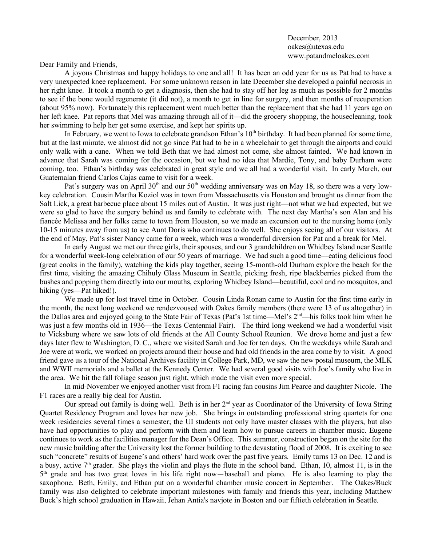December, 2013 oakes@utexas.edu www.patandmeloakes.com

Dear Family and Friends,

A joyous Christmas and happy holidays to one and all! It has been an odd year for us as Pat had to have a very unexpected knee replacement. For some unknown reason in late December she developed a painful necrosis in her right knee. It took a month to get a diagnosis, then she had to stay off her leg as much as possible for 2 months to see if the bone would regenerate (it did not), a month to get in line for surgery, and then months of recuperation (about 95% now). Fortunately this replacement went much better than the replacement that she had 11 years ago on her left knee. Pat reports that Mel was amazing through all of it—did the grocery shopping, the housecleaning, took her swimming to help her get some exercise, and kept her spirits up.

In February, we went to Iowa to celebrate grandson Ethan's  $10<sup>th</sup>$  birthday. It had been planned for some time, but at the last minute, we almost did not go since Pat had to be in a wheelchair to get through the airports and could only walk with a cane. When we told Beth that we had almost not come, she almost fainted. We had known in advance that Sarah was coming for the occasion, but we had no idea that Mardie, Tony, and baby Durham were coming, too. Ethan's birthday was celebrated in great style and we all had a wonderful visit. In early March, our Guatemalan friend Carlos Cajas came to visit for a week.

Pat's surgery was on April 30<sup>th</sup> and our 50<sup>th</sup> wedding anniversary was on May 18, so there was a very lowkey celebration. Cousin Martha Koziol was in town from Massachusetts via Houston and brought us dinner from the Salt Lick, a great barbecue place about 15 miles out of Austin. It was just right—not what we had expected, but we were so glad to have the surgery behind us and family to celebrate with. The next day Martha's son Alan and his fiancée Melissa and her folks came to town from Houston, so we made an excursion out to the nursing home (only 10-15 minutes away from us) to see Aunt Doris who continues to do well. She enjoys seeing all of our visitors. At the end of May, Pat's sister Nancy came for a week, which was a wonderful diversion for Pat and a break for Mel.

In early August we met our three girls, their spouses, and our 3 grandchildren on Whidbey Island near Seattle for a wonderful week-long celebration of our 50 years of marriage. We had such a good time—eating delicious food (great cooks in the family), watching the kids play together, seeing 15-month-old Durham explore the beach for the first time, visiting the amazing Chihuly Glass Museum in Seattle, picking fresh, ripe blackberries picked from the bushes and popping them directly into our mouths, exploring Whidbey Island—beautiful, cool and no mosquitos, and hiking (yes—Pat hiked!).

We made up for lost travel time in October. Cousin Linda Ronan came to Austin for the first time early in the month, the next long weekend we rendezvoused with Oakes family members (there were 13 of us altogether) in the Dallas area and enjoyed going to the State Fair of Texas (Pat's 1st time—Mel's 2<sup>nd</sup>—his folks took him when he was just a few months old in 1936—the Texas Centennial Fair). The third long weekend we had a wonderful visit to Vicksburg where we saw lots of old friends at the All County School Reunion. We drove home and just a few days later flew to Washington, D. C., where we visited Sarah and Joe for ten days. On the weekdays while Sarah and Joe were at work, we worked on projects around their house and had old friends in the area come by to visit. A good friend gave us a tour of the National Archives facility in College Park, MD, we saw the new postal museum, the MLK and WWII memorials and a ballet at the Kennedy Center. We had several good visits with Joe's family who live in the area. We hit the fall foliage season just right, which made the visit even more special.

In mid-November we enjoyed another visit from F1 racing fan cousins Jim Pearce and daughter Nicole. The F1 races are a really big deal for Austin.

Our spread out family is doing well. Beth is in her  $2<sup>nd</sup>$  year as Coordinator of the University of Iowa String Quartet Residency Program and loves her new job. She brings in outstanding professional string quartets for one week residencies several times a semester; the UI students not only have master classes with the players, but also have had opportunities to play and perform with them and learn how to pursue careers in chamber music. Eugene continues to work as the facilities manager for the Dean's Office. This summer, construction began on the site for the new music building after the University lost the former building to the devastating flood of 2008. It is exciting to see such "concrete" results of Eugene's and others' hard work over the past five years. Emily turns 13 on Dec. 12 and is a busy, active  $7<sup>th</sup>$  grader. She plays the violin and plays the flute in the school band. Ethan, 10, almost 11, is in the 5th grade and has two great loves in his life right now—baseball and piano. He is also learning to play the saxophone. Beth, Emily, and Ethan put on a wonderful chamber music concert in September. The Oakes/Buck family was also delighted to celebrate important milestones with family and friends this year, including Matthew Buck's high school graduation in Hawaii, Jehan Antia's navjote in Boston and our fiftieth celebration in Seattle.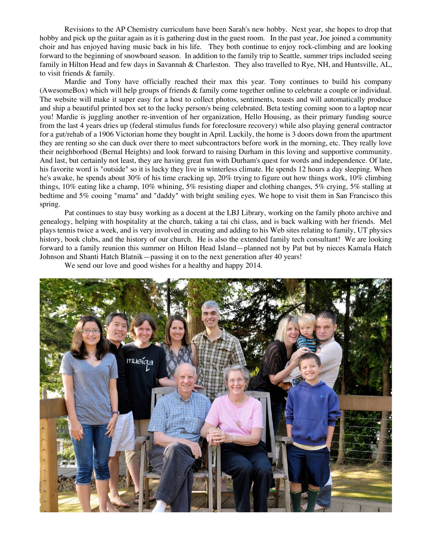Revisions to the AP Chemistry curriculum have been Sarah's new hobby. Next year, she hopes to drop that hobby and pick up the guitar again as it is gathering dust in the guest room. In the past year, Joe joined a community choir and has enjoyed having music back in his life. They both continue to enjoy rock-climbing and are looking forward to the beginning of snowboard season. In addition to the family trip to Seattle, summer trips included seeing family in Hilton Head and few days in Savannah & Charleston. They also travelled to Rye, NH, and Huntsville, AL, to visit friends & family.

Mardie and Tony have officially reached their max this year. Tony continues to build his company (AwesomeBox) which will help groups of friends & family come together online to celebrate a couple or individual. The website will make it super easy for a host to collect photos, sentiments, toasts and will automatically produce and ship a beautiful printed box set to the lucky person/s being celebrated. Beta testing coming soon to a laptop near you! Mardie is juggling another re-invention of her organization, Hello Housing, as their primary funding source from the last 4 years dries up (federal stimulus funds for foreclosure recovery) while also playing general contractor for a gut/rehab of a 1906 Victorian home they bought in April. Luckily, the home is 3 doors down from the apartment they are renting so she can duck over there to meet subcontractors before work in the morning, etc. They really love their neighborhood (Bernal Heights) and look forward to raising Durham in this loving and supportive community. And last, but certainly not least, they are having great fun with Durham's quest for words and independence. Of late, his favorite word is "outside" so it is lucky they live in winterless climate. He spends 12 hours a day sleeping. When he's awake, he spends about 30% of his time cracking up, 20% trying to figure out how things work, 10% climbing things, 10% eating like a champ, 10% whining, 5% resisting diaper and clothing changes, 5% crying, 5% stalling at bedtime and 5% cooing "mama" and "daddy" with bright smiling eyes. We hope to visit them in San Francisco this spring.

Pat continues to stay busy working as a docent at the LBJ Library, working on the family photo archive and genealogy, helping with hospitality at the church, taking a tai chi class, and is back walking with her friends. Mel plays tennis twice a week, and is very involved in creating and adding to his Web sites relating to family, UT physics history, book clubs, and the history of our church. He is also the extended family tech consultant! We are looking forward to a family reunion this summer on Hilton Head Island—planned not by Pat but by nieces Kamala Hatch Johnson and Shanti Hatch Blatnik—passing it on to the next generation after 40 years!

We send our love and good wishes for a healthy and happy 2014.